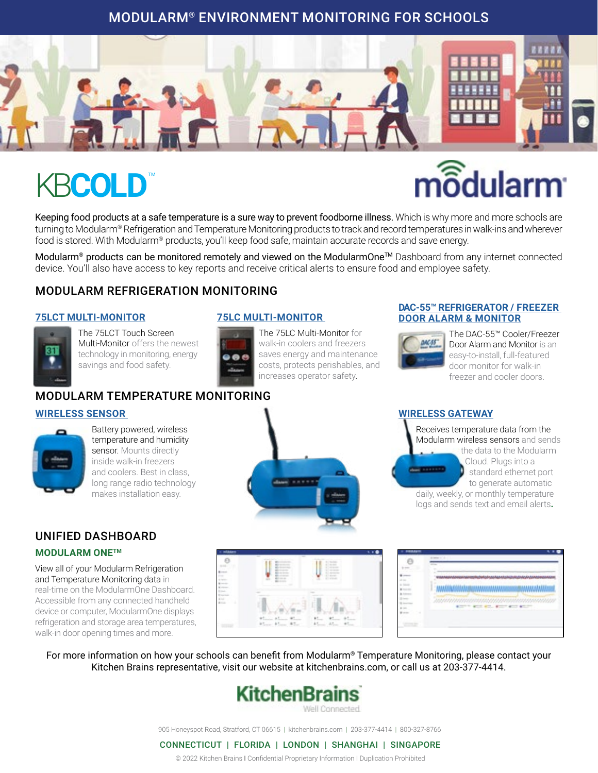### MODULARM® ENVIRONMENT MONITORING FOR SCHOOLS



# **KBCOLD**

# $m$  $\widehat{\delta}$ dularm

Keeping food products at a safe temperature is a sure way to prevent foodborne illness. Which is why more and more schools are turning to Modularm® Refrigeration and Temperature Monitoring products to track and record temperatures in walk-ins and wherever food is stored. With Modularm® products, you'll keep food safe, maintain accurate records and save energy.

Modularm® products can be monitored remotely and viewed on the ModularmOne™ Dashboard from any internet connected device. You'll also have access to key reports and receive critical alerts to ensure food and employee safety.

### MODULARM REFRIGERATION MONITORING

#### **[75LCT MULTI-MONITOR](https://www.kitchenbrains.com/product/modularm-75lct-touch-screen-multi-monitor/)**



The 75LCT Touch Screen Multi-Monitor offers the newest technology in monitoring, energy savings and food safety.

#### **[75LC MULTI-MONITOR](https://www.kitchenbrains.com/product/modularm-75lc-multi-monitor/)**

The 75LC Multi-Monitor for walk-in coolers and freezers saves energy and maintenance costs, protects perishables, and increases operator safety.

#### **[DAC-55™ REFRIGERATOR / FREEZER](https://www.kitchenbrains.com/product/modularm-dac-55-refrigerator-freezer-door-alarm-monitor/)  [DOOR ALARM & MONITOR](https://www.kitchenbrains.com/product/modularm-dac-55-refrigerator-freezer-door-alarm-monitor/)**



The DAC-55™ Cooler/Freezer Door Alarm and Monitor is an easy-to-install, full-featured door monitor for walk-in freezer and cooler doors.

### MODULARM TEMPERATURE MONITORING

#### **[WIRELESS SENSOR](https://www.kitchenbrains.com/product/wireless-ethernet-gateway/)**



Battery powered, wireless temperature and humidity sensor. Mounts directly inside walk-in freezers and coolers. Best in class, long range radio technology makes installation easy.



#### **[WIRELESS GATEWAY](https://www.kitchenbrains.com/product/wireless-ethernet-gateway/)**

Receives temperature data from the Modularm wireless sensors and sends the data to the Modularm **Cloud.** Plugs into a standard ethernet port to generate automatic daily, weekly, or monthly temperature logs and sends text and email alerts**.**

### UNIFIED DASHBOARD

#### **MODULARM ONETM**

View all of your Modularm Refrigeration and Temperature Monitoring data in real-time on the ModularmOne Dashboard. Accessible from any connected handheld device or computer, ModularmOne displays refrigeration and storage area temperatures, walk-in door opening times and more.



|                              | ٠<br>**************************<br><b><i><u><b>AAAHAAAAHHAAAAA</b></u></i></b><br>------  |
|------------------------------|-------------------------------------------------------------------------------------------|
| -<br>$=$<br>٠<br>٠<br>٠<br>× | ٠<br>111<br>٠<br>$\overline{a}$<br>÷<br>÷<br>٠<br>٠<br>$\sim$<br>$\frac{1}{2}$<br>--<br>۰ |
| ٠<br>٠                       |                                                                                           |

For more information on how your schools can benefit from Modularm® Temperature Monitoring, please contact your Kitchen Brains representative, visit our website at kitchenbrains.com, or call us at 203-377-4414.

# KitchenBrains

905 Honeyspot Road, Stratford, CT 06615 | kitchenbrains.com | 203-377-4414 | 800-327-8766

#### CONNECTICUT | FLORIDA | LONDON | SHANGHAI | SINGAPORE

© 2022 Kitchen Brains I Confidential Proprietary Information I Duplication Prohibited